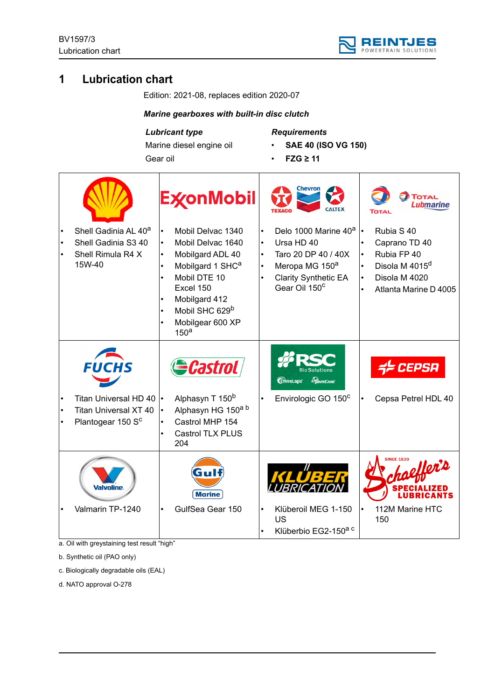

# **1 Lubrication chart**

Edition: 2021-08, replaces edition 2020-07

## *Marine gearboxes with built-in disc clutch*

# *Lubricant type*

Marine diesel engine oil Gear oil

*Requirements*

- **SAE 40 (ISO VG 150)**
- **FZG ≥ 11**

|                                                                                           | <b>ExconMobil</b>                                                                                                                                                                                                                                                                            |                                                               | <b>Chevron</b><br><b>CALTEX</b>                                                                                                                                 | <b>TOTAL</b><br>Lubmarine<br>ΤοτΑι                                                                                 |
|-------------------------------------------------------------------------------------------|----------------------------------------------------------------------------------------------------------------------------------------------------------------------------------------------------------------------------------------------------------------------------------------------|---------------------------------------------------------------|-----------------------------------------------------------------------------------------------------------------------------------------------------------------|--------------------------------------------------------------------------------------------------------------------|
| Shell Gadinia AL 40 <sup>a</sup><br>Shell Gadinia S3 40<br>Shell Rimula R4 X<br>15W-40    | Mobil Delvac 1340<br>Mobil Delvac 1640<br>$\bullet$<br>Mobilgard ADL 40<br>$\bullet$<br>Mobilgard 1 SHC <sup>a</sup><br>Mobil DTE 10<br>$\bullet$<br>Excel 150<br>Mobilgard 412<br>$\bullet$<br>Mobil SHC 629 <sup>b</sup><br>$\bullet$<br>Mobilgear 600 XP<br>$\bullet$<br>150 <sup>a</sup> | $\bullet$<br>$\bullet$<br>$\bullet$<br>$\bullet$<br>$\bullet$ | Delo 1000 Marine 40 <sup>a</sup><br>Ursa HD 40<br>Taro 20 DP 40 / 40X<br>Meropa MG 150 <sup>a</sup><br><b>Clarity Synthetic EA</b><br>Gear Oil 150 <sup>c</sup> | Rubia S 40<br>Caprano TD 40<br>Rubia FP 40<br>Disola M 4015 <sup>d</sup><br>Disola M 4020<br>Atlanta Marine D 4005 |
| <i><b>FUCHS</b></i>                                                                       | Castrol                                                                                                                                                                                                                                                                                      |                                                               | <b>CriviroLogic</b><br><b>CAFECARE</b>                                                                                                                          | <i><b>CEPSA</b></i>                                                                                                |
| Titan Universal HD 40  .<br><b>Titan Universal XT 40</b><br>Plantogear 150 S <sup>c</sup> | Alphasyn T 150 <sup>b</sup><br>Alphasyn HG 150 <sup>a b</sup><br>$\bullet$<br>Castrol MHP 154<br>$\bullet$<br>Castrol TLX PLUS<br>204                                                                                                                                                        |                                                               | Envirologic GO 150 <sup>c</sup>                                                                                                                                 | Cepsa Petrel HDL 40                                                                                                |
| Valvoline.                                                                                | <b>Marine</b>                                                                                                                                                                                                                                                                                |                                                               |                                                                                                                                                                 | <b>SINCE 1839</b>                                                                                                  |
| Valmarin TP-1240                                                                          | GulfSea Gear 150                                                                                                                                                                                                                                                                             | $\bullet$                                                     | Klüberoil MEG 1-150<br>US<br>Klüberbio EG2-150 <sup>a c</sup>                                                                                                   | 112M Marine HTC<br>150                                                                                             |

a. Oil with greystaining test result "high"

b. Synthetic oil (PAO only)

c. Biologically degradable oils (EAL)

d. NATO approval O-278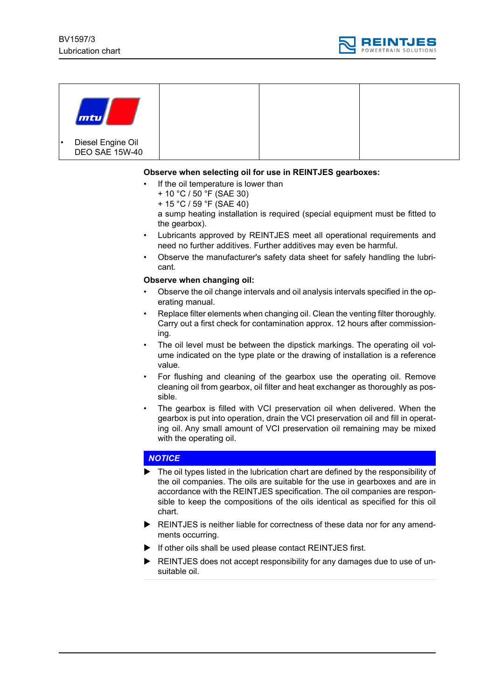

| mtu                                        |  |  |
|--------------------------------------------|--|--|
| Diesel Engine Oil<br><b>DEO SAE 15W-40</b> |  |  |

#### **Observe when selecting oil for use in REINTJES gearboxes:**

- If the oil temperature is lower than
	- + 10 °C / 50 °F (SAE 30)
	- + 15 °C / 59 °F (SAE 40)

a sump heating installation is required (special equipment must be fitted to the gearbox).

- Lubricants approved by REINTJES meet all operational requirements and need no further additives. Further additives may even be harmful.
- Observe the manufacturer's safety data sheet for safely handling the lubricant.

#### **Observe when changing oil:**

- Observe the oil change intervals and oil analysis intervals specified in the operating manual.
- Replace filter elements when changing oil. Clean the venting filter thoroughly. Carry out a first check for contamination approx. 12 hours after commissioning.
- The oil level must be between the dipstick markings. The operating oil volume indicated on the type plate or the drawing of installation is a reference value.
- For flushing and cleaning of the gearbox use the operating oil. Remove cleaning oil from gearbox, oil filter and heat exchanger as thoroughly as possible.
- The gearbox is filled with VCI preservation oil when delivered. When the gearbox is put into operation, drain the VCI preservation oil and fill in operating oil. Any small amount of VCI preservation oil remaining may be mixed with the operating oil.

## *NOTICE*

- The oil types listed in the lubrication chart are defined by the responsibility of the oil companies. The oils are suitable for the use in gearboxes and are in accordance with the REINTJES specification. The oil companies are responsible to keep the compositions of the oils identical as specified for this oil chart.
- ▶ REINTJES is neither liable for correctness of these data nor for any amendments occurring.
- If other oils shall be used please contact REINTJES first.
- REINTJES does not accept responsibility for any damages due to use of unsuitable oil.